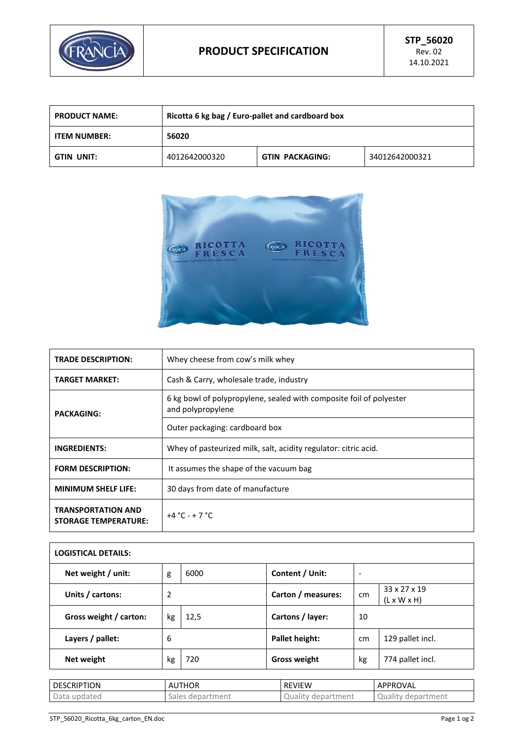

| <b>PRODUCT NAME:</b> | Ricotta 6 kg bag / Euro-pallet and cardboard box |                        |                |
|----------------------|--------------------------------------------------|------------------------|----------------|
| <b>ITEM NUMBER:</b>  | 56020                                            |                        |                |
| GTIN UNIT:           | 4012642000320                                    | <b>GTIN PACKAGING:</b> | 34012642000321 |



| <b>TRADE DESCRIPTION:</b>                                | Whey cheese from cow's milk whey                                                         |  |  |
|----------------------------------------------------------|------------------------------------------------------------------------------------------|--|--|
| <b>TARGET MARKET:</b>                                    | Cash & Carry, wholesale trade, industry                                                  |  |  |
| <b>PACKAGING:</b>                                        | 6 kg bowl of polypropylene, sealed with composite foil of polyester<br>and polypropylene |  |  |
|                                                          | Outer packaging: cardboard box                                                           |  |  |
| <b>INGREDIENTS:</b>                                      | Whey of pasteurized milk, salt, acidity regulator: citric acid.                          |  |  |
| <b>FORM DESCRIPTION:</b>                                 | It assumes the shape of the vacuum bag                                                   |  |  |
| <b>MINIMUM SHELF LIFE:</b>                               | 30 days from date of manufacture                                                         |  |  |
| <b>TRANSPORTATION AND</b><br><b>STORAGE TEMPERATURE:</b> | $+4 °C - +7 °C$                                                                          |  |  |

| <b>LOGISTICAL DETAILS:</b> |    |      |                     |                          |                                         |
|----------------------------|----|------|---------------------|--------------------------|-----------------------------------------|
| Net weight / unit:         | g  | 6000 | Content / Unit:     | $\overline{\phantom{0}}$ |                                         |
| Units / cartons:           | 2  |      | Carton / measures:  | cm                       | 33 x 27 x 19<br>$(L \times W \times H)$ |
| Gross weight / carton:     | kg | 12,5 | Cartons / layer:    | 10                       |                                         |
| Layers / pallet:           | 6  |      | Pallet height:      | cm                       | 129 pallet incl.                        |
| Net weight                 | kg | 720  | <b>Gross weight</b> | kg                       | 774 pallet incl.                        |

| <b>DESCRIPTION</b> | <b>AUTHOR</b>       | <b>REVIEW</b>                                       | APPROVAL                  |
|--------------------|---------------------|-----------------------------------------------------|---------------------------|
| Data<br>updated    | Sales<br>department | department <sup>.</sup><br>Quality<br>$\mathcal{L}$ | rtment<br>Qualit<br>depar |